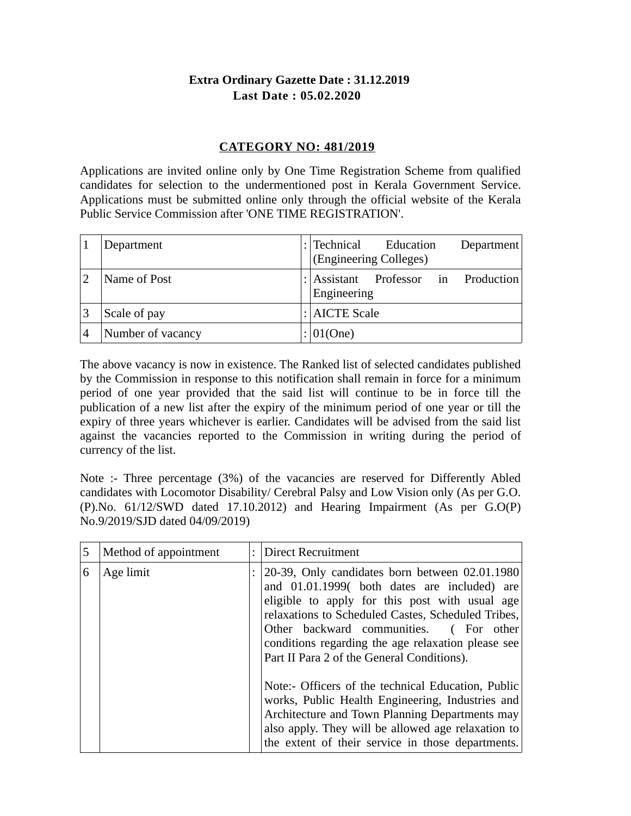# **Extra Ordinary Gazette Date : 31.12.2019 Last Date : 05.02.2020**

## **CATEGORY NO: 481/2019**

Applications are invited online only by One Time Registration Scheme from qualified candidates for selection to the undermentioned post in Kerala Government Service. Applications must be submitted online only through the official website of the Kerala Public Service Commission after 'ONE TIME REGISTRATION'.

| Department        | $:$ Technical<br>Education<br>Department<br>(Engineering Colleges) |  |
|-------------------|--------------------------------------------------------------------|--|
| Name of Post      | Professor in Production<br>: $ $ Assistant<br>Engineering          |  |
| Scale of pay      | $: $ AICTE Scale                                                   |  |
| Number of vacancy | $ 01$ (One)                                                        |  |

The above vacancy is now in existence. The Ranked list of selected candidates published by the Commission in response to this notification shall remain in force for a minimum period of one year provided that the said list will continue to be in force till the publication of a new list after the expiry of the minimum period of one year or till the expiry of three years whichever is earlier. Candidates will be advised from the said list against the vacancies reported to the Commission in writing during the period of currency of the list.

Note :- Three percentage (3%) of the vacancies are reserved for Differently Abled candidates with Locomotor Disability/ Cerebral Palsy and Low Vision only (As per G.O. (P).No. 61/12/SWD dated 17.10.2012) and Hearing Impairment (As per G.O(P) No.9/2019/SJD dated 04/09/2019)

| 5 | Method of appointment | <b>Direct Recruitment</b>                                                                                                                                                                                                                                                                                                                            |
|---|-----------------------|------------------------------------------------------------------------------------------------------------------------------------------------------------------------------------------------------------------------------------------------------------------------------------------------------------------------------------------------------|
| 6 | Age limit             | 20-39, Only candidates born between 02.01.1980<br>and 01.01.1999( both dates are included) are<br>eligible to apply for this post with usual age<br>relaxations to Scheduled Castes, Scheduled Tribes,<br>Other backward communities. (For other<br>conditions regarding the age relaxation please see<br>Part II Para 2 of the General Conditions). |
|   |                       | Note:- Officers of the technical Education, Public<br>works, Public Health Engineering, Industries and<br>Architecture and Town Planning Departments may<br>also apply. They will be allowed age relaxation to<br>the extent of their service in those departments.                                                                                  |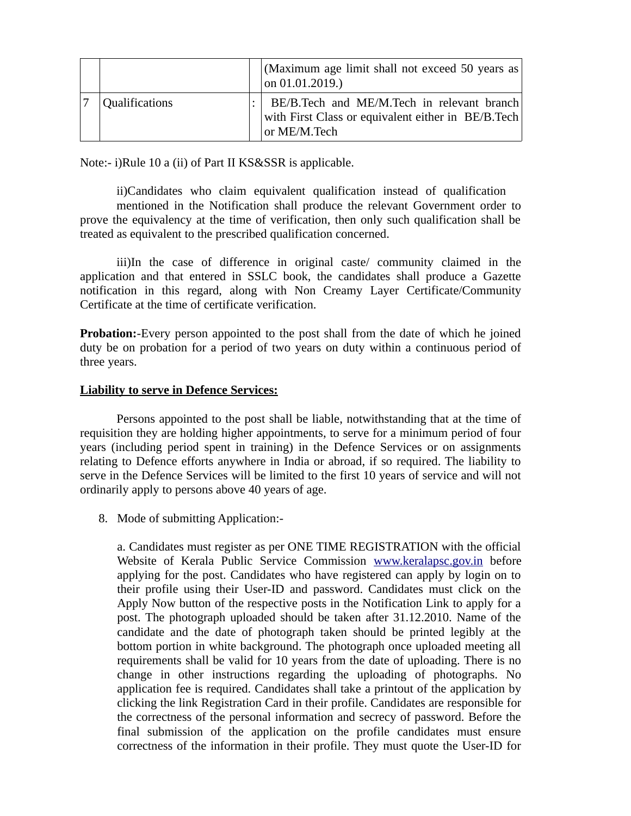|                       | (Maximum age limit shall not exceed 50 years as<br>on 01.01.2019.)                                               |
|-----------------------|------------------------------------------------------------------------------------------------------------------|
| <b>Qualifications</b> | BE/B.Tech and ME/M.Tech in relevant branch<br>with First Class or equivalent either in BE/B.Tech<br>or ME/M.Tech |

Note:- i)Rule 10 a (ii) of Part II KS&SSR is applicable.

ii)Candidates who claim equivalent qualification instead of qualification mentioned in the Notification shall produce the relevant Government order to prove the equivalency at the time of verification, then only such qualification shall be treated as equivalent to the prescribed qualification concerned.

iii)In the case of difference in original caste/ community claimed in the application and that entered in SSLC book, the candidates shall produce a Gazette notification in this regard, along with Non Creamy Layer Certificate/Community Certificate at the time of certificate verification.

**Probation:**-Every person appointed to the post shall from the date of which he joined duty be on probation for a period of two years on duty within a continuous period of three years.

## **Liability to serve in Defence Services:**

Persons appointed to the post shall be liable, notwithstanding that at the time of requisition they are holding higher appointments, to serve for a minimum period of four years (including period spent in training) in the Defence Services or on assignments relating to Defence efforts anywhere in India or abroad, if so required. The liability to serve in the Defence Services will be limited to the first 10 years of service and will not ordinarily apply to persons above 40 years of age.

8. Mode of submitting Application:-

a. Candidates must register as per ONE TIME REGISTRATION with the official Website of Kerala Public Service Commission [www.keralapsc.gov.in](http://www.keralapsc.gov.in/) before applying for the post. Candidates who have registered can apply by login on to their profile using their User-ID and password. Candidates must click on the Apply Now button of the respective posts in the Notification Link to apply for a post. The photograph uploaded should be taken after 31.12.2010. Name of the candidate and the date of photograph taken should be printed legibly at the bottom portion in white background. The photograph once uploaded meeting all requirements shall be valid for 10 years from the date of uploading. There is no change in other instructions regarding the uploading of photographs. No application fee is required. Candidates shall take a printout of the application by clicking the link Registration Card in their profile. Candidates are responsible for the correctness of the personal information and secrecy of password. Before the final submission of the application on the profile candidates must ensure correctness of the information in their profile. They must quote the User-ID for